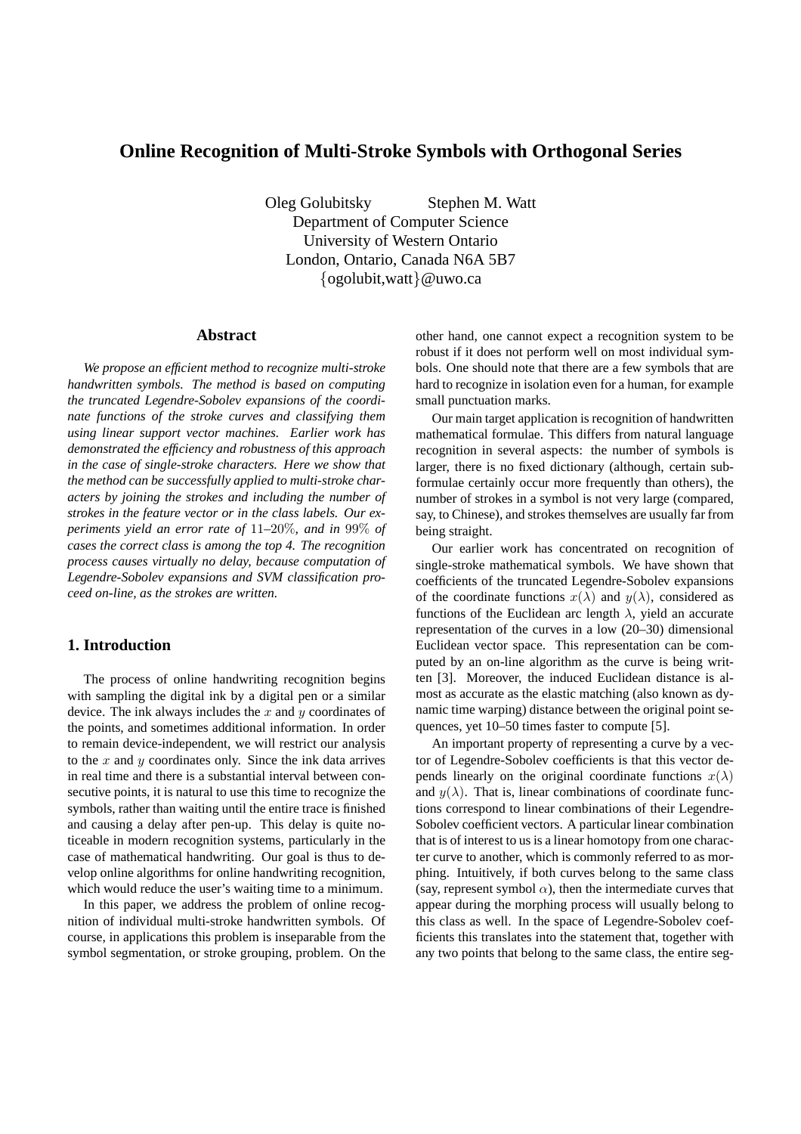# **Online Recognition of Multi-Stroke Symbols with Orthogonal Series**

Oleg Golubitsky Stephen M. Watt Department of Computer Science University of Western Ontario London, Ontario, Canada N6A 5B7 {ogolubit,watt}@uwo.ca

### **Abstract**

*We propose an efficient method to recognize multi-stroke handwritten symbols. The method is based on computing the truncated Legendre-Sobolev expansions of the coordinate functions of the stroke curves and classifying them using linear support vector machines. Earlier work has demonstrated the efficiency and robustness of this approach in the case of single-stroke characters. Here we show that the method can be successfully applied to multi-stroke characters by joining the strokes and including the number of strokes in the feature vector or in the class labels. Our experiments yield an error rate of* 11*–*20%*, and in* 99% *of cases the correct class is among the top 4. The recognition process causes virtually no delay, because computation of Legendre-Sobolev expansions and SVM classification proceed on-line, as the strokes are written.*

# **1. Introduction**

The process of online handwriting recognition begins with sampling the digital ink by a digital pen or a similar device. The ink always includes the  $x$  and  $y$  coordinates of the points, and sometimes additional information. In order to remain device-independent, we will restrict our analysis to the  $x$  and  $y$  coordinates only. Since the ink data arrives in real time and there is a substantial interval between consecutive points, it is natural to use this time to recognize the symbols, rather than waiting until the entire trace is finished and causing a delay after pen-up. This delay is quite noticeable in modern recognition systems, particularly in the case of mathematical handwriting. Our goal is thus to develop online algorithms for online handwriting recognition, which would reduce the user's waiting time to a minimum.

In this paper, we address the problem of online recognition of individual multi-stroke handwritten symbols. Of course, in applications this problem is inseparable from the symbol segmentation, or stroke grouping, problem. On the other hand, one cannot expect a recognition system to be robust if it does not perform well on most individual symbols. One should note that there are a few symbols that are hard to recognize in isolation even for a human, for example small punctuation marks.

Our main target application is recognition of handwritten mathematical formulae. This differs from natural language recognition in several aspects: the number of symbols is larger, there is no fixed dictionary (although, certain subformulae certainly occur more frequently than others), the number of strokes in a symbol is not very large (compared, say, to Chinese), and strokes themselves are usually far from being straight.

Our earlier work has concentrated on recognition of single-stroke mathematical symbols. We have shown that coefficients of the truncated Legendre-Sobolev expansions of the coordinate functions  $x(\lambda)$  and  $y(\lambda)$ , considered as functions of the Euclidean arc length  $\lambda$ , yield an accurate representation of the curves in a low (20–30) dimensional Euclidean vector space. This representation can be computed by an on-line algorithm as the curve is being written [3]. Moreover, the induced Euclidean distance is almost as accurate as the elastic matching (also known as dynamic time warping) distance between the original point sequences, yet 10–50 times faster to compute [5].

An important property of representing a curve by a vector of Legendre-Sobolev coefficients is that this vector depends linearly on the original coordinate functions  $x(\lambda)$ and  $y(\lambda)$ . That is, linear combinations of coordinate functions correspond to linear combinations of their Legendre-Sobolev coefficient vectors. A particular linear combination that is of interest to us is a linear homotopy from one character curve to another, which is commonly referred to as morphing. Intuitively, if both curves belong to the same class (say, represent symbol  $\alpha$ ), then the intermediate curves that appear during the morphing process will usually belong to this class as well. In the space of Legendre-Sobolev coefficients this translates into the statement that, together with any two points that belong to the same class, the entire seg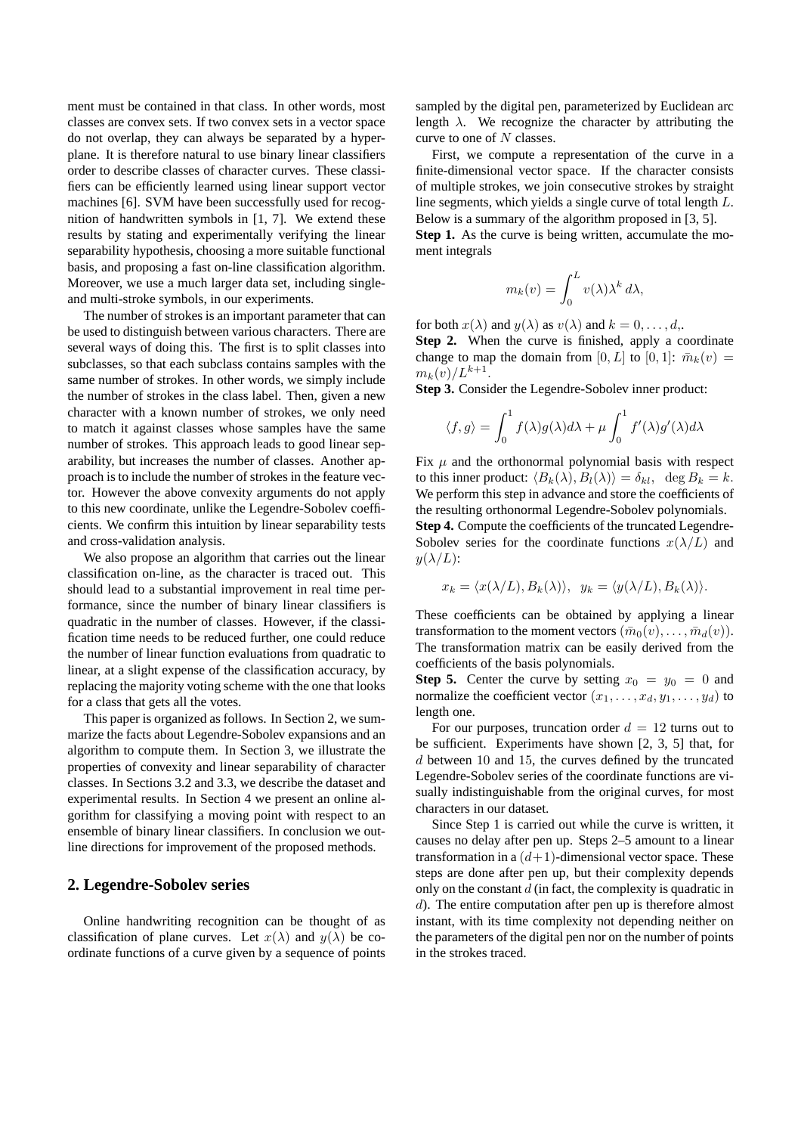ment must be contained in that class. In other words, most classes are convex sets. If two convex sets in a vector space do not overlap, they can always be separated by a hyperplane. It is therefore natural to use binary linear classifiers order to describe classes of character curves. These classifiers can be efficiently learned using linear support vector machines [6]. SVM have been successfully used for recognition of handwritten symbols in [1, 7]. We extend these results by stating and experimentally verifying the linear separability hypothesis, choosing a more suitable functional basis, and proposing a fast on-line classification algorithm. Moreover, we use a much larger data set, including singleand multi-stroke symbols, in our experiments.

The number of strokes is an important parameter that can be used to distinguish between various characters. There are several ways of doing this. The first is to split classes into subclasses, so that each subclass contains samples with the same number of strokes. In other words, we simply include the number of strokes in the class label. Then, given a new character with a known number of strokes, we only need to match it against classes whose samples have the same number of strokes. This approach leads to good linear separability, but increases the number of classes. Another approach is to include the number of strokes in the feature vector. However the above convexity arguments do not apply to this new coordinate, unlike the Legendre-Sobolev coefficients. We confirm this intuition by linear separability tests and cross-validation analysis.

We also propose an algorithm that carries out the linear classification on-line, as the character is traced out. This should lead to a substantial improvement in real time performance, since the number of binary linear classifiers is quadratic in the number of classes. However, if the classification time needs to be reduced further, one could reduce the number of linear function evaluations from quadratic to linear, at a slight expense of the classification accuracy, by replacing the majority voting scheme with the one that looks for a class that gets all the votes.

This paper is organized as follows. In Section 2, we summarize the facts about Legendre-Sobolev expansions and an algorithm to compute them. In Section 3, we illustrate the properties of convexity and linear separability of character classes. In Sections 3.2 and 3.3, we describe the dataset and experimental results. In Section 4 we present an online algorithm for classifying a moving point with respect to an ensemble of binary linear classifiers. In conclusion we outline directions for improvement of the proposed methods.

#### **2. Legendre-Sobolev series**

Online handwriting recognition can be thought of as classification of plane curves. Let  $x(\lambda)$  and  $y(\lambda)$  be coordinate functions of a curve given by a sequence of points sampled by the digital pen, parameterized by Euclidean arc length  $\lambda$ . We recognize the character by attributing the curve to one of  $N$  classes.

First, we compute a representation of the curve in a finite-dimensional vector space. If the character consists of multiple strokes, we join consecutive strokes by straight line segments, which yields a single curve of total length L. Below is a summary of the algorithm proposed in [3, 5]. **Step 1.** As the curve is being written, accumulate the moment integrals

$$
m_k(v) = \int_0^L v(\lambda) \lambda^k d\lambda,
$$

for both  $x(\lambda)$  and  $y(\lambda)$  as  $v(\lambda)$  and  $k = 0, \ldots, d$ . **Step 2.** When the curve is finished, apply a coordinate change to map the domain from [0, L] to [0, 1]:  $\bar{m}_k(v) =$  $m_k(v)/L^{k+1}$ .

**Step 3.** Consider the Legendre-Sobolev inner product:

$$
\langle f, g \rangle = \int_0^1 f(\lambda)g(\lambda)d\lambda + \mu \int_0^1 f'(\lambda)g'(\lambda)d\lambda
$$

Fix  $\mu$  and the orthonormal polynomial basis with respect to this inner product:  $\langle B_k(\lambda), B_l(\lambda) \rangle = \delta_{kl}$ , deg  $B_k = k$ . We perform this step in advance and store the coefficients of the resulting orthonormal Legendre-Sobolev polynomials.

**Step 4.** Compute the coefficients of the truncated Legendre-Sobolev series for the coordinate functions  $x(\lambda/L)$  and  $y(\lambda/L)$ :

$$
x_k = \langle x(\lambda/L), B_k(\lambda) \rangle, \ \ y_k = \langle y(\lambda/L), B_k(\lambda) \rangle.
$$

These coefficients can be obtained by applying a linear transformation to the moment vectors  $(\bar{m}_0(v), \ldots, \bar{m}_d(v))$ . The transformation matrix can be easily derived from the coefficients of the basis polynomials.

**Step 5.** Center the curve by setting  $x_0 = y_0 = 0$  and normalize the coefficient vector  $(x_1, \ldots, x_d, y_1, \ldots, y_d)$  to length one.

For our purposes, truncation order  $d = 12$  turns out to be sufficient. Experiments have shown [2, 3, 5] that, for d between 10 and 15, the curves defined by the truncated Legendre-Sobolev series of the coordinate functions are visually indistinguishable from the original curves, for most characters in our dataset.

Since Step 1 is carried out while the curve is written, it causes no delay after pen up. Steps 2–5 amount to a linear transformation in a  $(d+1)$ -dimensional vector space. These steps are done after pen up, but their complexity depends only on the constant  $d$  (in fact, the complexity is quadratic in d). The entire computation after pen up is therefore almost instant, with its time complexity not depending neither on the parameters of the digital pen nor on the number of points in the strokes traced.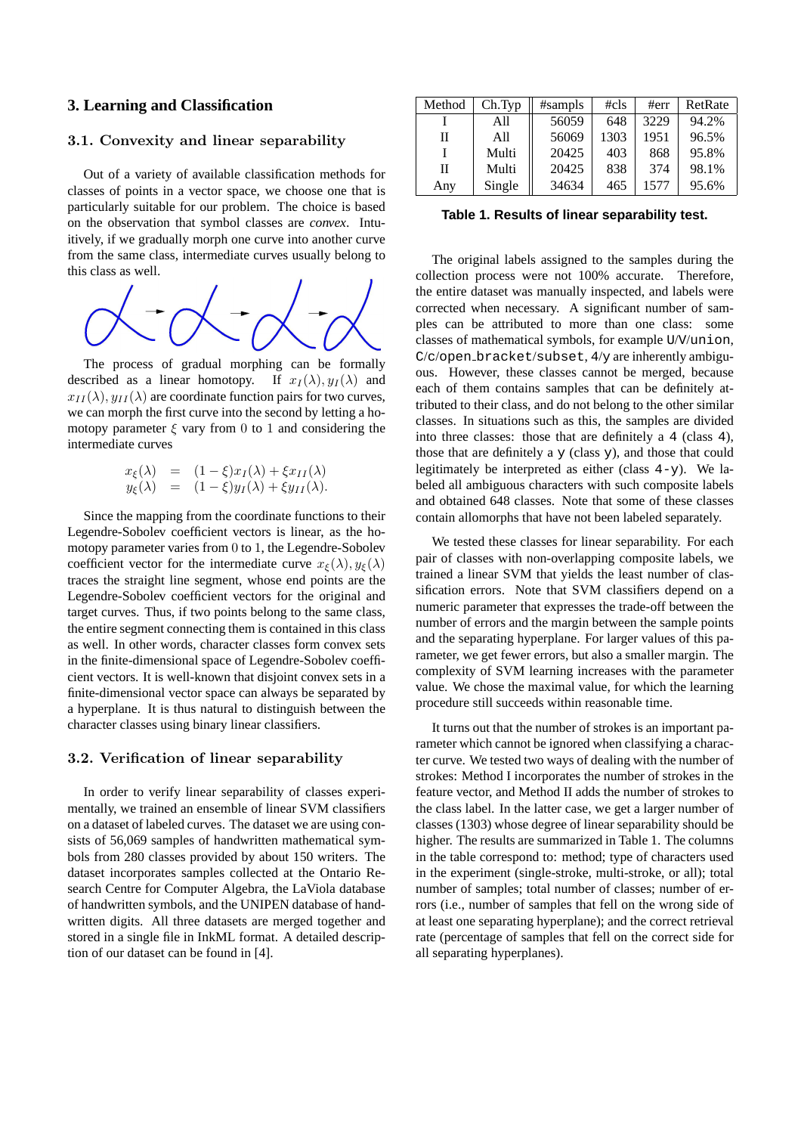### **3. Learning and Classification**

#### 3.1. Convexity and linear separability

Out of a variety of available classification methods for classes of points in a vector space, we choose one that is particularly suitable for our problem. The choice is based on the observation that symbol classes are *convex*. Intuitively, if we gradually morph one curve into another curve from the same class, intermediate curves usually belong to this class as well.



The process of gradual morphing can be formally described as a linear homotopy. If  $x_I(\lambda), y_I(\lambda)$  and  $x_{II}(\lambda), y_{II}(\lambda)$  are coordinate function pairs for two curves, we can morph the first curve into the second by letting a homotopy parameter  $\xi$  vary from 0 to 1 and considering the intermediate curves

$$
x_{\xi}(\lambda) = (1 - \xi)x_I(\lambda) + \xi x_{II}(\lambda)
$$
  
\n
$$
y_{\xi}(\lambda) = (1 - \xi)y_I(\lambda) + \xi y_{II}(\lambda).
$$

Since the mapping from the coordinate functions to their Legendre-Sobolev coefficient vectors is linear, as the homotopy parameter varies from 0 to 1, the Legendre-Sobolev coefficient vector for the intermediate curve  $x_{\xi}(\lambda), y_{\xi}(\lambda)$ traces the straight line segment, whose end points are the Legendre-Sobolev coefficient vectors for the original and target curves. Thus, if two points belong to the same class, the entire segment connecting them is contained in this class as well. In other words, character classes form convex sets in the finite-dimensional space of Legendre-Sobolev coefficient vectors. It is well-known that disjoint convex sets in a finite-dimensional vector space can always be separated by a hyperplane. It is thus natural to distinguish between the character classes using binary linear classifiers.

#### 3.2. Verification of linear separability

In order to verify linear separability of classes experimentally, we trained an ensemble of linear SVM classifiers on a dataset of labeled curves. The dataset we are using consists of 56,069 samples of handwritten mathematical symbols from 280 classes provided by about 150 writers. The dataset incorporates samples collected at the Ontario Research Centre for Computer Algebra, the LaViola database of handwritten symbols, and the UNIPEN database of handwritten digits. All three datasets are merged together and stored in a single file in InkML format. A detailed description of our dataset can be found in [4].

| Method | Ch.Typ | #sampls | #cls | #err | RetRate |
|--------|--------|---------|------|------|---------|
|        | All    | 56059   | 648  | 3229 | 94.2%   |
| П      | All    | 56069   | 1303 | 1951 | 96.5%   |
|        | Multi  | 20425   | 403  | 868  | 95.8%   |
| П      | Multi  | 20425   | 838  | 374  | 98.1%   |
| Any    | Single | 34634   | 465  | 1577 | 95.6%   |

**Table 1. Results of linear separability test.**

The original labels assigned to the samples during the collection process were not 100% accurate. Therefore, the entire dataset was manually inspected, and labels were corrected when necessary. A significant number of samples can be attributed to more than one class: some classes of mathematical symbols, for example U/V/union, C/c/open bracket/subset, 4/y are inherently ambiguous. However, these classes cannot be merged, because each of them contains samples that can be definitely attributed to their class, and do not belong to the other similar classes. In situations such as this, the samples are divided into three classes: those that are definitely a 4 (class 4), those that are definitely a  $\vee$  (class  $\vee$ ), and those that could legitimately be interpreted as either (class 4-y). We labeled all ambiguous characters with such composite labels and obtained 648 classes. Note that some of these classes contain allomorphs that have not been labeled separately.

We tested these classes for linear separability. For each pair of classes with non-overlapping composite labels, we trained a linear SVM that yields the least number of classification errors. Note that SVM classifiers depend on a numeric parameter that expresses the trade-off between the number of errors and the margin between the sample points and the separating hyperplane. For larger values of this parameter, we get fewer errors, but also a smaller margin. The complexity of SVM learning increases with the parameter value. We chose the maximal value, for which the learning procedure still succeeds within reasonable time.

It turns out that the number of strokes is an important parameter which cannot be ignored when classifying a character curve. We tested two ways of dealing with the number of strokes: Method I incorporates the number of strokes in the feature vector, and Method II adds the number of strokes to the class label. In the latter case, we get a larger number of classes (1303) whose degree of linear separability should be higher. The results are summarized in Table 1. The columns in the table correspond to: method; type of characters used in the experiment (single-stroke, multi-stroke, or all); total number of samples; total number of classes; number of errors (i.e., number of samples that fell on the wrong side of at least one separating hyperplane); and the correct retrieval rate (percentage of samples that fell on the correct side for all separating hyperplanes).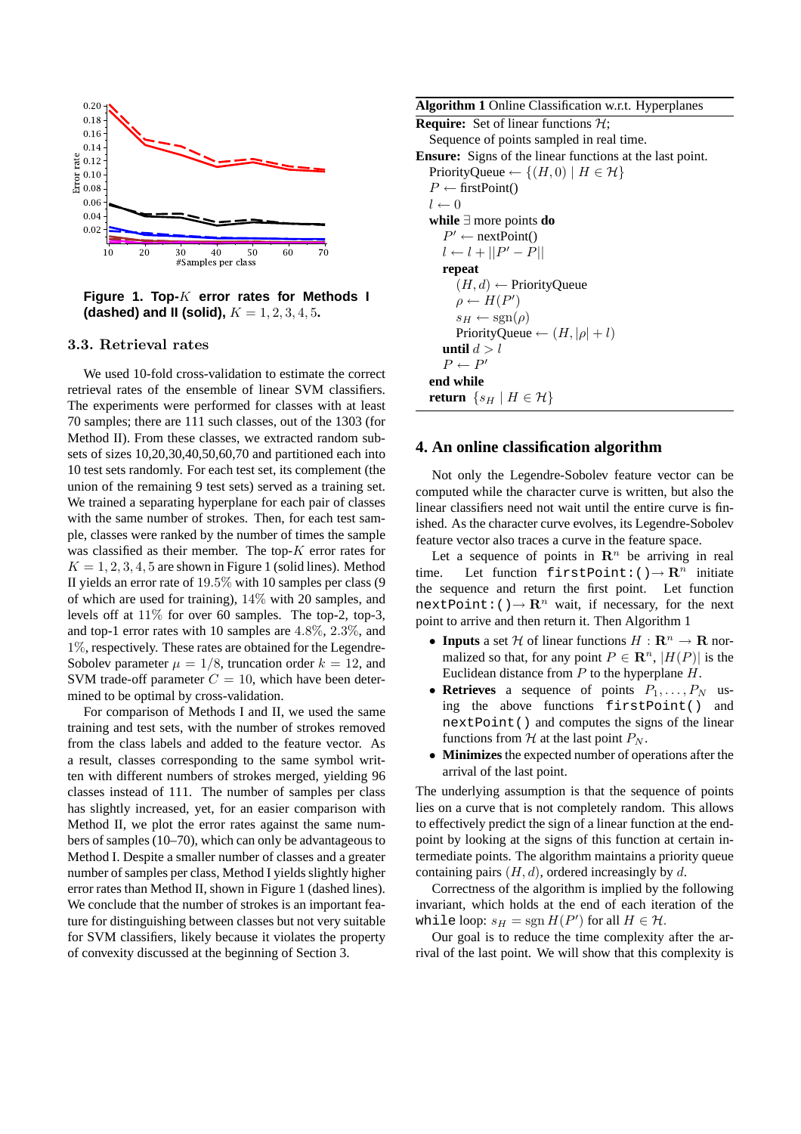

**Figure 1. Top-**K **error rates for Methods I (dashed) and II (solid),**  $K = 1, 2, 3, 4, 5$ .

#### 3.3. Retrieval rates

We used 10-fold cross-validation to estimate the correct retrieval rates of the ensemble of linear SVM classifiers. The experiments were performed for classes with at least 70 samples; there are 111 such classes, out of the 1303 (for Method II). From these classes, we extracted random subsets of sizes 10,20,30,40,50,60,70 and partitioned each into 10 test sets randomly. For each test set, its complement (the union of the remaining 9 test sets) served as a training set. We trained a separating hyperplane for each pair of classes with the same number of strokes. Then, for each test sample, classes were ranked by the number of times the sample was classified as their member. The top- $K$  error rates for  $K = 1, 2, 3, 4, 5$  are shown in Figure 1 (solid lines). Method II yields an error rate of 19.5% with 10 samples per class (9 of which are used for training), 14% with 20 samples, and levels off at 11% for over 60 samples. The top-2, top-3, and top-1 error rates with 10 samples are 4.8%, 2.3%, and 1%, respectively. These rates are obtained for the Legendre-Sobolev parameter  $\mu = 1/8$ , truncation order  $k = 12$ , and SVM trade-off parameter  $C = 10$ , which have been determined to be optimal by cross-validation.

For comparison of Methods I and II, we used the same training and test sets, with the number of strokes removed from the class labels and added to the feature vector. As a result, classes corresponding to the same symbol written with different numbers of strokes merged, yielding 96 classes instead of 111. The number of samples per class has slightly increased, yet, for an easier comparison with Method II, we plot the error rates against the same numbers of samples (10–70), which can only be advantageous to Method I. Despite a smaller number of classes and a greater number of samples per class, Method I yields slightly higher error rates than Method II, shown in Figure 1 (dashed lines). We conclude that the number of strokes is an important feature for distinguishing between classes but not very suitable for SVM classifiers, likely because it violates the property of convexity discussed at the beginning of Section 3.

**Algorithm 1** Online Classification w.r.t. Hyperplanes

**Require:** Set of linear functions  $H$ ; Sequence of points sampled in real time. **Ensure:** Signs of the linear functions at the last point. PriorityQueue ←  $\{(H, 0) \mid H \in \mathcal{H}\}\$  $P \leftarrow$  firstPoint()  $l \leftarrow 0$ **while** ∃ more points **do**  $P' \leftarrow \text{nextPoint}()$  $l \leftarrow l + ||P' - P||$ **repeat**  $(H, d) \leftarrow$  PriorityQueue  $\rho \leftarrow H(P')$  $s_H \leftarrow \text{sgn}(\rho)$ PriorityQueue  $\leftarrow$   $(H, |\rho| + l)$ **until**  $d > l$  $P \leftarrow P'$ **end while return**  $\{s_H | H \in \mathcal{H}\}\$ 

#### **4. An online classification algorithm**

Not only the Legendre-Sobolev feature vector can be computed while the character curve is written, but also the linear classifiers need not wait until the entire curve is finished. As the character curve evolves, its Legendre-Sobolev feature vector also traces a curve in the feature space.

Let a sequence of points in  $\mathbb{R}^n$  be arriving in real time. Let function firstPoint: ()  $\rightarrow \mathbb{R}^n$  initiate the sequence and return the first point. Let function nextPoint: ()  $\rightarrow$  R<sup>n</sup> wait, if necessary, for the next point to arrive and then return it. Then Algorithm 1

- **Inputs** a set H of linear functions  $H : \mathbb{R}^n \to \mathbb{R}$  normalized so that, for any point  $P \in \mathbb{R}^n$ ,  $|H(P)|$  is the Euclidean distance from  $P$  to the hyperplane  $H$ .
- **Retrieves** a sequence of points  $P_1, \ldots, P_N$  using the above functions firstPoint() and nextPoint() and computes the signs of the linear functions from  $H$  at the last point  $P_N$ .
- **Minimizes** the expected number of operations after the arrival of the last point.

The underlying assumption is that the sequence of points lies on a curve that is not completely random. This allows to effectively predict the sign of a linear function at the endpoint by looking at the signs of this function at certain intermediate points. The algorithm maintains a priority queue containing pairs  $(H, d)$ , ordered increasingly by d.

Correctness of the algorithm is implied by the following invariant, which holds at the end of each iteration of the while loop:  $s_H = \text{sgn } H(P')$  for all  $H \in \mathcal{H}$ .

Our goal is to reduce the time complexity after the arrival of the last point. We will show that this complexity is